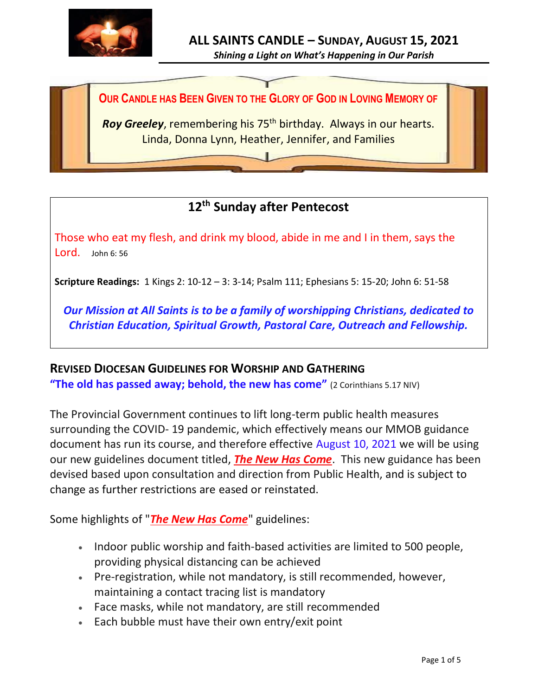

**OUR CANDLE HAS BEEN GIVEN TO THE GLORY OF GOD IN LOVING MEMORY OF**

Roy Greeley, remembering his 75<sup>th</sup> birthday. Always in our hearts. Linda, Donna Lynn, Heather, Jennifer, and Families

# **12 th Sunday after Pentecost**

Those who eat my flesh, and drink my blood, abide in me and I in them, says the Lord. John 6: 56

**Scripture Readings:** 1 Kings 2: 10-12 – 3: 3-14; Psalm 111; Ephesians 5: 15-20; John 6: 51-58

*Our Mission at All Saints is to be a family of worshipping Christians, dedicated to Christian Education, Spiritual Growth, Pastoral Care, Outreach and Fellowship.*

#### **REVISED DIOCESAN GUIDELINES FOR WORSHIP AND GATHERING**

**"The old has passed away; behold, the new has come"** (2 Corinthians 5.17 NIV)

The Provincial Government continues to lift long-term public health measures surrounding the COVID- 19 pandemic, which effectively means our MMOB guidance document has run its course, and therefore effective August 10, 2021 we will be using our new guidelines document titled, *[The New Has Come](https://anglicanenl.net/home/wp-content/uploads/2021/08/The-New-Has-Come-August-10-2021.pdf?fbclid=IwAR2_9nhbxB2LEc3XOqAP_nvoRu4G5Mt6NWIYwOEYNI0OtUl0atv2QwCfCY0)*. This new guidance has been devised based upon consultation and direction from Public Health, and is subject to change as further restrictions are eased or reinstated.

Some highlights of "*[The New Has Come](https://anglicanenl.net/home/wp-content/uploads/2021/08/The-New-Has-Come-August-10-2021.pdf?fbclid=IwAR2_9nhbxB2LEc3XOqAP_nvoRu4G5Mt6NWIYwOEYNI0OtUl0atv2QwCfCY0)*" guidelines:

- Indoor public worship and faith-based activities are limited to 500 people, providing physical distancing can be achieved
- Pre-registration, while not mandatory, is still recommended, however, maintaining a contact tracing list is mandatory
- Face masks, while not mandatory, are still recommended
- Each bubble must have their own entry/exit point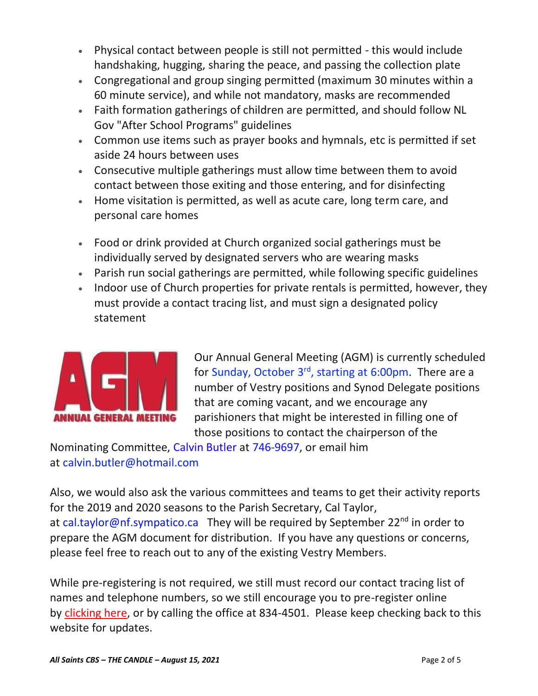- Physical contact between people is still not permitted this would include handshaking, hugging, sharing the peace, and passing the collection plate
- Congregational and group singing permitted (maximum 30 minutes within a 60 minute service), and while not mandatory, masks are recommended
- Faith formation gatherings of children are permitted, and should follow NL Gov "After School Programs" guidelines
- Common use items such as prayer books and hymnals, etc is permitted if set aside 24 hours between uses
- Consecutive multiple gatherings must allow time between them to avoid contact between those exiting and those entering, and for disinfecting
- Home visitation is permitted, as well as acute care, long term care, and personal care homes
- Food or drink provided at Church organized social gatherings must be individually served by designated servers who are wearing masks
- Parish run social gatherings are permitted, while following specific guidelines
- Indoor use of Church properties for private rentals is permitted, however, they must provide a contact tracing list, and must sign a designated policy statement



Our Annual General Meeting (AGM) is currently scheduled for Sunday, October 3rd, starting at 6:00pm. There are a number of Vestry positions and Synod Delegate positions that are coming vacant, and we encourage any parishioners that might be interested in filling one of those positions to contact the chairperson of the

Nominating Committee, Calvin Butler at 746-9697, or email him at calvin.butler@hotmail.com

Also, we would also ask the various committees and teams to get their activity reports for the 2019 and 2020 seasons to the Parish Secretary, Cal Taylor, at cal.taylor@nf.sympatico.ca They will be required by September 22<sup>nd</sup> in order to prepare the AGM document for distribution. If you have any questions or concerns, please feel free to reach out to any of the existing Vestry Members.

While pre-registering is not required, we still must record our contact tracing list of names and telephone numbers, so we still encourage you to pre-register online by [clicking here,](http://allsaintsparish.ca/covid-pre-registration-form_1) or by calling the office at 834-4501. Please keep checking back to this website for updates.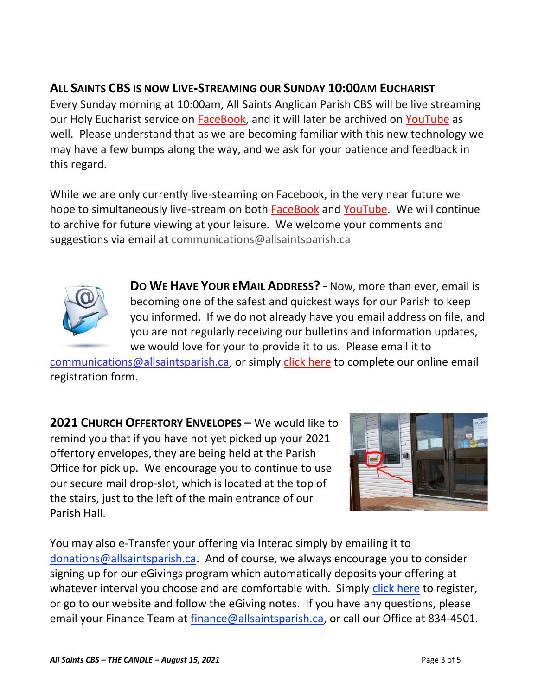## **ALL SAINTS CBS IS NOW LIVE-STREAMING OUR SUNDAY 10:00AM EUCHARIST**

Every Sunday morning at 10:00am, All Saints Anglican Parish CBS will be live streaming our Holy Eucharist service on **FaceBook**, and it will later be archived on [YouTube](https://www.youtube.com/results?search_query=all+saints+anglican+parish+cbs) as well. Please understand that as we are becoming familiar with this new technology we may have a few bumps along the way, and we ask for your patience and feedback in this regard.

While we are only currently live-steaming on Facebook, in the very near future we hope to simultaneously live-stream on both [FaceBook](https://www.facebook.com/AllSaintsAnglicanChurchCBS) and [YouTube.](https://www.youtube.com/results?search_query=all+saints+anglican+parish+cbs) We will continue to archive for future viewing at your leisure. We welcome your comments and suggestions via email at [communications@allsaintsparish.ca](mailto:communications@allsaintsparish.ca)



**DO WE HAVE YOUR EMAIL ADDRESS?** - Now, more than ever, email is becoming one of the safest and quickest ways for our Parish to keep you informed. If we do not already have you email address on file, and you are not regularly receiving our bulletins and information updates, we would love for your to provide it to us. Please email it to

[communications@allsaintsparish.ca,](mailto:communications@allsaintsparish.ca?subject=eMail%20Address%20Update) or simply [click here](http://allsaintsparish.ca/email_updates) to complete our online email registration form.

**2021 CHURCH OFFERTORY ENVELOPES** – We would like to remind you that if you have not yet picked up your 2021 offertory envelopes, they are being held at the Parish Office for pick up. We encourage you to continue to use our secure mail drop-slot, which is located at the top of the stairs, just to the left of the main entrance of our Parish Hall.



You may also e-Transfer your offering via Interac simply by emailing it to [donations@allsaintsparish.ca.](mailto:donations@allsaintsparish.ca) And of course, we always encourage you to consider signing up for our eGivings program which automatically deposits your offering at whatever interval you choose and are comfortable with. Simply [click here](http://allsaintsparish.ca/egiving-online-information-form) to register, or go to our website and follow the eGiving notes. If you have [any](https://wfsites-to.websitecreatorprotool.com/870a5dd5.com/Admin/%7BSK_NODEID__22939341__SK%7D) questions, please email your Finance Team at [finance@allsaintsparish.ca,](mailto:finance@allsaintsparish.ca) or call our Office at 834-4501.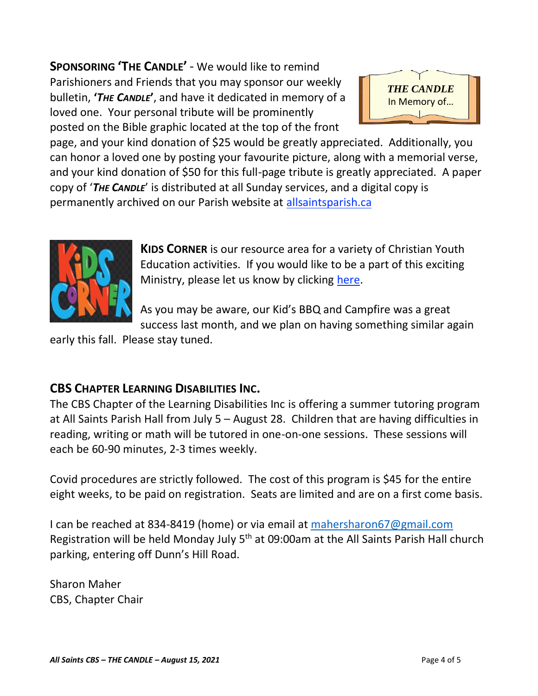**SPONSORING 'THE CANDLE'** - We would like to remind Parishioners and Friends that you may sponsor our weekly bulletin, **'***THE CANDLE***'**, and have it dedicated in memory of a loved one. Your personal tribute will be prominently posted on the Bible graphic located at the top of the front



page, and your kind donation of \$25 would be greatly appreciated. Additionally, you can honor a loved one by posting your favourite picture, along with a memorial verse, and your kind donation of \$50 for this full-page tribute is greatly appreciated. A paper copy of '*THE CANDLE*' is distributed at all Sunday services, and a digital copy is permanently archived on our Parish website at [allsaintsparish.ca](http://allsaintsparish.ca/thecandle.html)



**KIDS CORNER** is our resource area for a variety of Christian Youth Education activities. If you would like to be a part of this exciting Ministry, please let us know by clicking [here.](http://allsaintsparish.ca/index.html#comments)

As you may be aware, our Kid's BBQ and Campfire was a great success last month, and we plan on having something similar again

early this fall. Please stay tuned.

### **CBS CHAPTER LEARNING DISABILITIES INC.**

The CBS Chapter of the Learning Disabilities Inc is offering a summer tutoring program at All Saints Parish Hall from July 5 – August 28. Children that are having difficulties in reading, writing or math will be tutored in one-on-one sessions. These sessions will each be 60-90 minutes, 2-3 times weekly.

Covid procedures are strictly followed. The cost of this program is \$45 for the entire eight weeks, to be paid on registration. Seats are limited and are on a first come basis.

I can be reached at 834-8419 (home) or via email at [mahersharon67@gmail.com](mailto:mahersharon67@gmail.com) Registration will be held Monday July 5<sup>th</sup> at 09:00am at the All Saints Parish Hall church parking, entering off Dunn's Hill Road.

Sharon Maher CBS, Chapter Chair